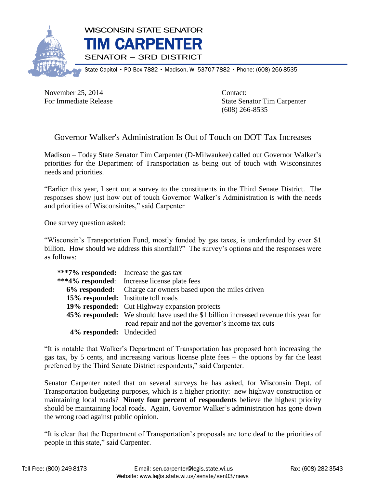

State Capitol • PO Box 7882 • Madison, WI 53707-7882 • Phone: (608) 266-8535

November 25, 2014 Contact:

For Immediate Release State Senator Tim Carpenter (608) 266-8535

## Governor Walker's Administration Is Out of Touch on DOT Tax Increases

Madison – Today State Senator Tim Carpenter (D-Milwaukee) called out Governor Walker's priorities for the Department of Transportation as being out of touch with Wisconsinites needs and priorities.

"Earlier this year, I sent out a survey to the constituents in the Third Senate District. The responses show just how out of touch Governor Walker's Administration is with the needs and priorities of Wisconsinites," said Carpenter

One survey question asked:

"Wisconsin's Transportation Fund, mostly funded by gas taxes, is underfunded by over \$1 billion. How should we address this shortfall?" The survey's options and the responses were as follows:

| ***7% responded: Increase the gas tax |                                                                                           |
|---------------------------------------|-------------------------------------------------------------------------------------------|
|                                       | ***4% responded: Increase license plate fees                                              |
|                                       | 6% responded: Charge car owners based upon the miles driven                               |
|                                       | 15% responded: Institute toll roads                                                       |
|                                       | 19% responded: Cut Highway expansion projects                                             |
|                                       | <b>45% responded:</b> We should have used the \$1 billion increased revenue this year for |
|                                       | road repair and not the governor's income tax cuts                                        |
| 4% responded: Undecided               |                                                                                           |

"It is notable that Walker's Department of Transportation has proposed both increasing the gas tax, by 5 cents, and increasing various license plate fees – the options by far the least preferred by the Third Senate District respondents," said Carpenter.

Senator Carpenter noted that on several surveys he has asked, for Wisconsin Dept. of Transportation budgeting purposes, which is a higher priority: new highway construction or maintaining local roads? **Ninety four percent of respondents** believe the highest priority should be maintaining local roads. Again, Governor Walker's administration has gone down the wrong road against public opinion.

"It is clear that the Department of Transportation's proposals are tone deaf to the priorities of people in this state," said Carpenter.